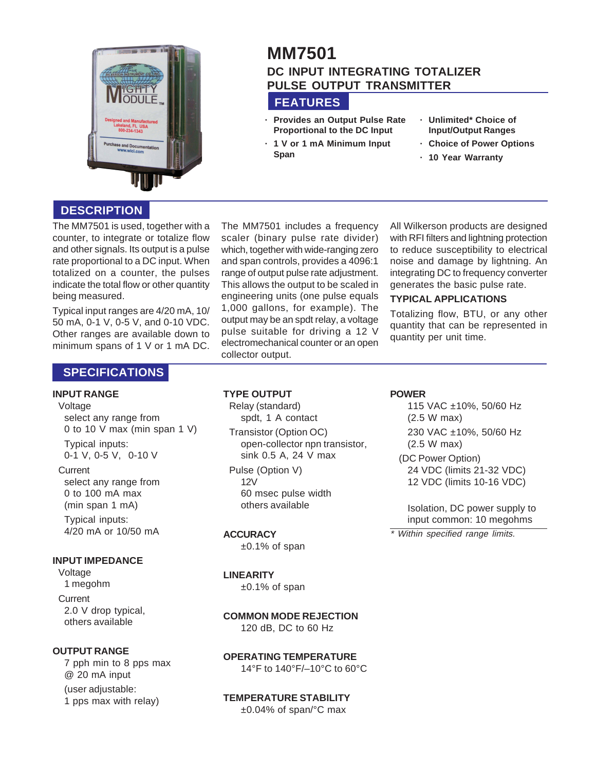

# **MM7501 DC INPUT INTEGRATING TOTALIZER PULSE OUTPUT TRANSMITTER**

# **FEATURES**

- **· Provides an Output Pulse Rate Proportional to the DC Input**
- **· 1 V or 1 mA Minimum Input Span**
- **· Unlimited\* Choice of Input/Output Ranges**
- **· Choice of Power Options**
- **· 10 Year Warranty**

# **DESCRIPTION**

The MM7501 is used, together with a counter, to integrate or totalize flow and other signals. Its output is a pulse rate proportional to a DC input. When totalized on a counter, the pulses indicate the total flow or other quantity being measured.

Typical input ranges are 4/20 mA, 10/ 50 mA, 0-1 V, 0-5 V, and 0-10 VDC. Other ranges are available down to minimum spans of 1 V or 1 mA DC.

# **SPECIFICATIONS**

### **INPUT RANGE**

#### Voltage

select any range from 0 to 10 V max (min span 1 V)

Typical inputs: 0-1 V, 0-5 V, 0-10 V

#### **Current**

select any range from 0 to 100 mA max (min span 1 mA) Typical inputs:

4/20 mA or 10/50 mA

#### **INPUT IMPEDANCE**

Voltage 1 megohm **Current** 2.0 V drop typical, others available

### **OUTPUT RANGE**

7 pph min to 8 pps max @ 20 mA input (user adjustable: 1 pps max with relay)

The MM7501 includes a frequency scaler (binary pulse rate divider) which, together with wide-ranging zero and span controls, provides a 4096:1 range of output pulse rate adjustment. This allows the output to be scaled in engineering units (one pulse equals 1,000 gallons, for example). The output may be an spdt relay, a voltage pulse suitable for driving a 12 V electromechanical counter or an open collector output.

All Wilkerson products are designed with RFI filters and lightning protection to reduce susceptibility to electrical noise and damage by lightning. An integrating DC to frequency converter generates the basic pulse rate.

### **TYPICAL APPLICATIONS**

Totalizing flow, BTU, or any other quantity that can be represented in quantity per unit time.

### **TYPE OUTPUT**

Relay (standard) spdt, 1 A contact

Transistor (Option OC) open-collector npn transistor, sink 0.5 A, 24 V max

Pulse (Option V) 12V 60 msec pulse width others available

### **ACCURACY**

±0.1% of span

### **LINEARITY**

±0.1% of span

# **COMMON MODE REJECTION**

120 dB, DC to 60 Hz

#### **OPERATING TEMPERATURE**

14°F to 140°F/–10°C to 60°C

## **TEMPERATURE STABILITY**

±0.04% of span/°C max

## **POWER**

115 VAC ±10%, 50/60 Hz (2.5 W max) 230 VAC ±10%, 50/60 Hz (2.5 W max)

(DC Power Option) 24 VDC (limits 21-32 VDC) 12 VDC (limits 10-16 VDC)

Isolation, DC power supply to input common: 10 megohms

\* Within specified range limits.